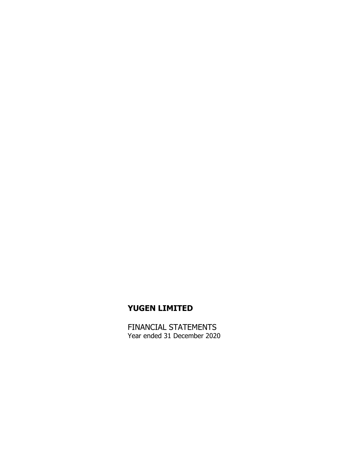## **YUGEN LIMITED**

FINANCIAL STATEMENTS Year ended 31 December 2020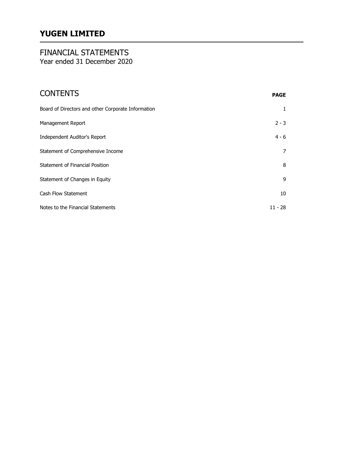## **YUGEN LIMITED**

## FINANCIAL STATEMENTS Year ended 31 December 2020

# CONTENTS **PAGE**

| PAGI |
|------|

| Board of Directors and other Corporate Information | 1       |
|----------------------------------------------------|---------|
| Management Report                                  | $2 - 3$ |
| Independent Auditor's Report                       | $4 - 6$ |
| Statement of Comprehensive Income                  | 7       |
| Statement of Financial Position                    | 8       |
| Statement of Changes in Equity                     | 9       |
| Cash Flow Statement                                | 10      |
| Notes to the Financial Statements                  | 11 - 28 |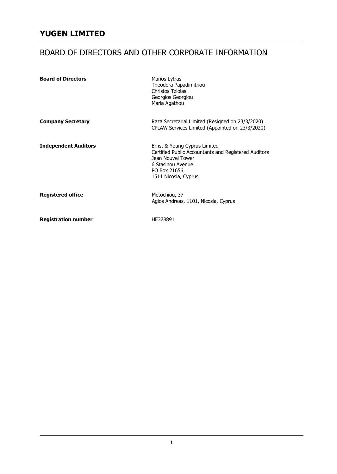## BOARD OF DIRECTORS AND OTHER CORPORATE INFORMATION

| <b>Board of Directors</b>   | Marios Lytras<br>Theodora Papadimitriou<br>Christos Tziolas<br>Georgios Georgiou<br>Maria Agathou                                                                      |
|-----------------------------|------------------------------------------------------------------------------------------------------------------------------------------------------------------------|
| <b>Company Secretary</b>    | Raza Secretarial Limited (Resigned on 23/3/2020)<br>CPLAW Services Limited (Appointed on 23/3/2020)                                                                    |
| <b>Independent Auditors</b> | Ernst & Young Cyprus Limited<br>Certified Public Accountants and Registered Auditors<br>Jean Nouvel Tower<br>6 Stasinou Avenue<br>PO Box 21656<br>1511 Nicosia, Cyprus |
| <b>Registered office</b>    | Metochiou, 37<br>Agios Andreas, 1101, Nicosia, Cyprus                                                                                                                  |
| <b>Registration number</b>  | HE378891                                                                                                                                                               |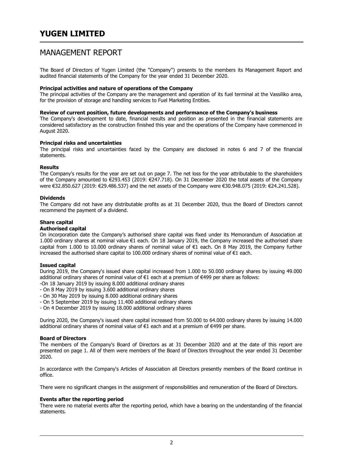## **YUGEN LIMITED**

## MANAGEMENT REPORT

The Board of Directors of Yugen Limited (the ''Company'') presents to the members its Management Report and audited financial statements of the Company for the year ended 31 December 2020.

#### **Principal activities and nature of operations of the Company**

The principal activities of the Company are the management and operation of its fuel terminal at the Vassiliko area, for the provision of storage and handling services to Fuel Marketing Entities.

#### **Review of current position, future developments and performance of the Company's business**

The Company's development to date, financial results and position as presented in the financial statements are considered satisfactory as the construction finished this year and the operations of the Company have commenced in August 2020.

#### **Principal risks and uncertainties**

The principal risks and uncertainties faced by the Company are disclosed in notes 6 and 7 of the financial statements.

#### **Results**

The Company's results for the year are set out on page 7. The net loss for the year attributable to the shareholders of the Company amounted to €293.453 (2019: €247.718). On 31 December 2020 the total assets of the Company were €32.850.627 (2019: €29.486.537) and the net assets of the Company were €30.948.075 (2019: €24.241.528).

#### **Dividends**

The Company did not have any distributable profits as at 31 December 2020, thus the Board of Directors cannot recommend the payment of a dividend.

#### **Share capital**

#### **Authorised capital**

On incorporation date the Company's authorised share capital was fixed under its Memorandum of Association at 1.000 ordinary shares at nominal value €1 each. On 18 January 2019, the Company increased the authorised share capital from 1.000 to 10.000 ordinary shares of nominal value of €1 each. On 8 May 2019, the Company further increased the authorised share capital to 100.000 ordinary shares of nominal value of €1 each.

#### **Issued capital**

During 2019, the Company's issued share capital increased from 1.000 to 50.000 ordinary shares by issuing 49.000 additional ordinary shares of nominal value of €1 each at a premium of €499 per share as follows:

- -On 18 January 2019 by issuing 8.000 additional ordinary shares
- On 8 May 2019 by issuing 3.600 additional ordinary shares
- On 30 May 2019 by issuing 8.000 additional ordinary shares
- On 5 September 2019 by issuing 11.400 additional ordinary shares
- On 4 December 2019 by issuing 18.000 additional ordinary shares

During 2020, the Company's issued share capital increased from 50.000 to 64.000 ordinary shares by issuing 14.000 additional ordinary shares of nominal value of €1 each and at a premium of €499 per share.

#### **Board of Directors**

The members of the Company's Board of Directors as at 31 December 2020 and at the date of this report are presented on page 1. All of them were members of the Board of Directors throughout the year ended 31 December 2020.

In accordance with the Company's Articles of Association all Directors presently members of the Board continue in office.

There were no significant changes in the assignment of responsibilities and remuneration of the Board of Directors.

#### **Events after the reporting period**

There were no material events after the reporting period, which have a bearing on the understanding of the financial statements.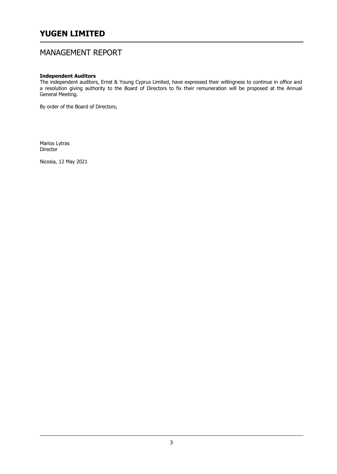## **YUGEN LIMITED**

## MANAGEMENT REPORT

#### **Independent Auditors**

The independent auditors, Ernst & Young Cyprus Limited, have expressed their willingness to continue in office and a resolution giving authority to the Board of Directors to fix their remuneration will be proposed at the Annual General Meeting.

By order of the Board of Directors,

Marios Lytras Director

Nicosia, 12 May 2021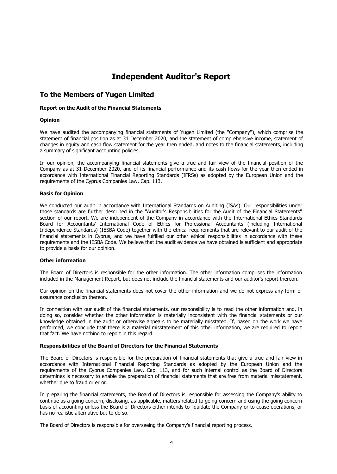## **Independent Auditor's Report**

### **To the Members of Yugen Limited**

#### **Report on the Audit of the Financial Statements**

#### **Opinion**

We have audited the accompanying financial statements of Yugen Limited (the ''Company''), which comprise the statement of financial position as at 31 December 2020, and the statement of comprehensive income, statement of changes in equity and cash flow statement for the year then ended, and notes to the financial statements, including a summary of significant accounting policies.

In our opinion, the accompanying financial statements give a true and fair view of the financial position of the Company as at 31 December 2020, and of its financial performance and its cash flows for the year then ended in accordance with International Financial Reporting Standards (IFRSs) as adopted by the European Union and the requirements of the Cyprus Companies Law, Cap. 113.

#### **Basis for Opinion**

We conducted our audit in accordance with International Standards on Auditing (ISAs). Our responsibilities under those standards are further described in the ''Auditor's Responsibilities for the Audit of the Financial Statements'' section of our report. We are independent of the Company in accordance with the International Ethics Standards Board for Accountants' International Code of Ethics for Professional Accountants (including International Independence Standards) (IESBA Code) together with the ethical requirements that are relevant to our audit of the financial statements in Cyprus, and we have fulfilled our other ethical responsibilities in accordance with these requirements and the IESBA Code. We believe that the audit evidence we have obtained is sufficient and appropriate to provide a basis for our opinion.

#### **Other information**

The Board of Directors is responsible for the other information. The other information comprises the information included in the Management Report, but does not include the financial statements and our auditor's report thereon.

Our opinion on the financial statements does not cover the other information and we do not express any form of assurance conclusion thereon.

In connection with our audit of the financial statements, our responsibility is to read the other information and, in doing so, consider whether the other information is materially inconsistent with the financial statements or our knowledge obtained in the audit or otherwise appears to be materially misstated. If, based on the work we have performed, we conclude that there is a material misstatement of this other information, we are required to report that fact. We have nothing to report in this regard.

#### **Responsibilities of the Board of Directors for the Financial Statements**

The Board of Directors is responsible for the preparation of financial statements that give a true and fair view in accordance with International Financial Reporting Standards as adopted by the European Union and the requirements of the Cyprus Companies Law, Cap. 113, and for such internal control as the Board of Directors determines is necessary to enable the preparation of financial statements that are free from material misstatement, whether due to fraud or error.

In preparing the financial statements, the Board of Directors is responsible for assessing the Company's ability to continue as a going concern, disclosing, as applicable, matters related to going concern and using the going concern basis of accounting unless the Board of Directors either intends to liquidate the Company or to cease operations, or has no realistic alternative but to do so.

The Board of Directors is responsible for overseeing the Company's financial reporting process.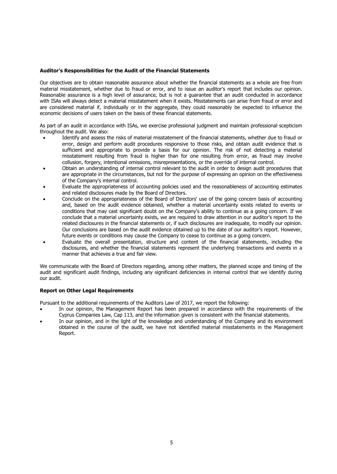#### **Auditor's Responsibilities for the Audit of the Financial Statements**

Our objectives are to obtain reasonable assurance about whether the financial statements as a whole are free from material misstatement, whether due to fraud or error, and to issue an auditor's report that includes our opinion. Reasonable assurance is a high level of assurance, but is not a guarantee that an audit conducted in accordance with ISAs will always detect a material misstatement when it exists. Misstatements can arise from fraud or error and are considered material if, individually or in the aggregate, they could reasonably be expected to influence the economic decisions of users taken on the basis of these financial statements.

As part of an audit in accordance with ISAs, we exercise professional judgment and maintain professional scepticism throughout the audit. We also:

- Identify and assess the risks of material misstatement of the financial statements, whether due to fraud or error, design and perform audit procedures responsive to those risks, and obtain audit evidence that is sufficient and appropriate to provide a basis for our opinion. The risk of not detecting a material misstatement resulting from fraud is higher than for one resulting from error, as fraud may involve collusion, forgery, intentional omissions, misrepresentations, or the override of internal control.
- Obtain an understanding of internal control relevant to the audit in order to design audit procedures that are appropriate in the circumstances, but not for the purpose of expressing an opinion on the effectiveness of the Company's internal control.
- Evaluate the appropriateness of accounting policies used and the reasonableness of accounting estimates and related disclosures made by the Board of Directors.
- Conclude on the appropriateness of the Board of Directors' use of the going concern basis of accounting and, based on the audit evidence obtained, whether a material uncertainty exists related to events or conditions that may cast significant doubt on the Company's ability to continue as a going concern. If we conclude that a material uncertainty exists, we are required to draw attention in our auditor's report to the related disclosures in the financial statements or, if such disclosures are inadequate, to modify our opinion. Our conclusions are based on the audit evidence obtained up to the date of our auditor's report. However, future events or conditions may cause the Company to cease to continue as a going concern.
- Evaluate the overall presentation, structure and content of the financial statements, including the disclosures, and whether the financial statements represent the underlying transactions and events in a manner that achieves a true and fair view.

We communicate with the Board of Directors regarding, among other matters, the planned scope and timing of the audit and significant audit findings, including any significant deficiencies in internal control that we identify during our audit.

#### **Report on Other Legal Requirements**

Pursuant to the additional requirements of the Auditors Law of 2017, we report the following:

- In our opinion, the Management Report has been prepared in accordance with the requirements of the Cyprus Companies Law, Cap 113, and the information given is consistent with the financial statements.
- In our opinion, and in the light of the knowledge and understanding of the Company and its environment obtained in the course of the audit, we have not identified material misstatements in the Management Report.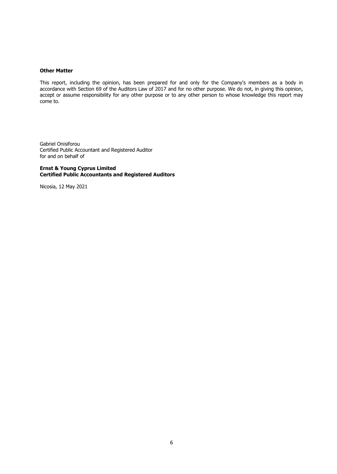#### **Other Matter**

This report, including the opinion, has been prepared for and only for the Company's members as a body in accordance with Section 69 of the Auditors Law of 2017 and for no other purpose. We do not, in giving this opinion, accept or assume responsibility for any other purpose or to any other person to whose knowledge this report may come to.

Gabriel Onisiforou Certified Public Accountant and Registered Auditor for and on behalf of

#### **Ernst & Young Cyprus Limited Certified Public Accountants and Registered Auditors**

Nicosia, 12 May 2021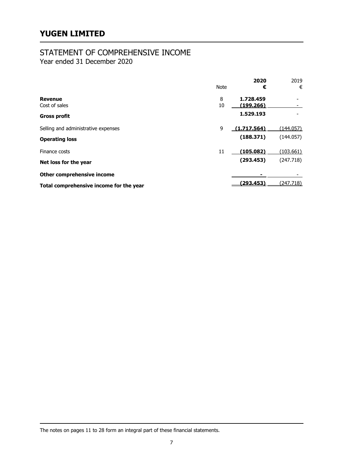# STATEMENT OF COMPREHENSIVE INCOME

Year ended 31 December 2020

|                                         | <b>Note</b> | 2020<br>€        | 2019<br>€ |
|-----------------------------------------|-------------|------------------|-----------|
| <b>Revenue</b>                          | 8           | 1.728.459        |           |
| Cost of sales                           | 10          | (199.266)        |           |
| <b>Gross profit</b>                     |             | 1.529.193        |           |
| Selling and administrative expenses     | 9           | (1.717.564)      | (144.057) |
| <b>Operating loss</b>                   |             | (188.371)        | (144.057) |
| Finance costs                           | 11          | (105.082)        | (103.661) |
| Net loss for the year                   |             | (293.453)        | (247.718) |
| Other comprehensive income              |             |                  |           |
| Total comprehensive income for the year |             | <u>(293.453)</u> | (247.718) |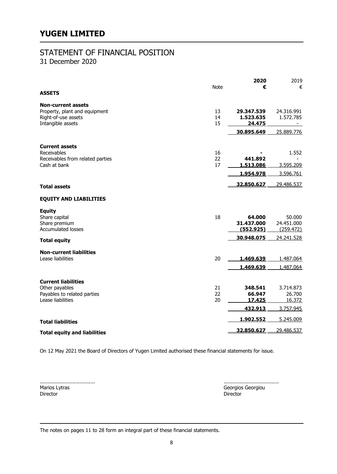## STATEMENT OF FINANCIAL POSITION 31 December 2020

|                                                      | <b>Note</b> | 2020<br>€               | 2019<br>€               |
|------------------------------------------------------|-------------|-------------------------|-------------------------|
| <b>ASSETS</b>                                        |             |                         |                         |
| <b>Non-current assets</b>                            |             |                         |                         |
| Property, plant and equipment<br>Right-of-use assets | 13<br>14    | 29.347.539              | 24.316.991<br>1.572.785 |
| Intangible assets                                    | 15          | 1.523.635<br>24.475     |                         |
|                                                      |             | 30.895.649              | 25.889.776              |
| <b>Current assets</b>                                |             |                         |                         |
| Receivables                                          | 16          |                         | 1.552                   |
| Receivables from related parties                     | 22<br>17    | 441.892                 |                         |
| Cash at bank                                         |             | 1.513.086               | 3.595.209               |
|                                                      |             | 1.954.978               | 3.596.761               |
| <b>Total assets</b>                                  |             | 32,850,627              | 29.486.537              |
| <b>EQUITY AND LIABILITIES</b>                        |             |                         |                         |
| <b>Equity</b>                                        |             |                         |                         |
| Share capital                                        | 18          | 64.000                  | 50,000                  |
| Share premium<br><b>Accumulated losses</b>           |             | 31.437.000<br>(552.925) | 24.451.000<br>(259.472) |
| <b>Total equity</b>                                  |             | 30.948.075              | 24.241.528              |
| <b>Non-current liabilities</b>                       |             |                         |                         |
| Lease liabilities                                    | 20          | 1.469.639               | 1.487.064               |
|                                                      |             | 1.469.639               | 1.487.064               |
| <b>Current liabilities</b>                           |             |                         |                         |
| Other payables                                       | 21          | 348.541                 | 3.714.873               |
| Payables to related parties                          | 22          | 66.947                  | 26.700                  |
| Lease liabilities                                    | 20          | 17.425                  | 16.372                  |
|                                                      |             | 432.913                 | 3.757.945               |
| <b>Total liabilities</b>                             |             | 1.902.552               | 5.245.009               |
| <b>Total equity and liabilities</b>                  |             | 32.850.627              | 29.486.537              |

On 12 May 2021 the Board of Directors of Yugen Limited authorised these financial statements for issue.

Marios Lytras Georgios Georgiou Director Director

.................................... ....................................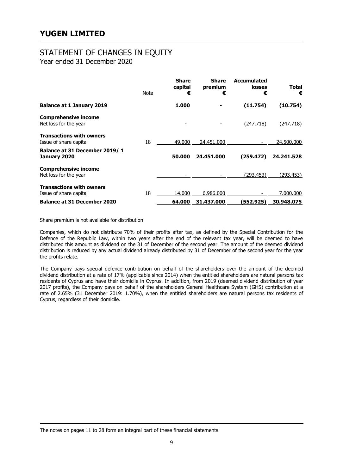## STATEMENT OF CHANGES IN EQUITY

Year ended 31 December 2020

|                                                           | <b>Note</b> | <b>Share</b><br>capital<br>€ | <b>Share</b><br>premium<br>€ | <b>Accumulated</b><br><b>losses</b><br>€ | Total<br>€ |
|-----------------------------------------------------------|-------------|------------------------------|------------------------------|------------------------------------------|------------|
| <b>Balance at 1 January 2019</b>                          |             | 1.000                        |                              | (11.754)                                 | (10.754)   |
| <b>Comprehensive income</b><br>Net loss for the year      |             |                              |                              | (247.718)                                | (247.718)  |
| <b>Transactions with owners</b><br>Issue of share capital | 18          | 49.000                       | 24.451.000                   |                                          | 24.500.000 |
| Balance at 31 December 2019/1<br>January 2020             |             | 50.000                       | 24.451.000                   | (259.472)                                | 24.241.528 |
| <b>Comprehensive income</b><br>Net loss for the year      |             |                              |                              | (293.453)                                | (293.453)  |
| <b>Transactions with owners</b><br>Issue of share capital | 18          | 14.000                       | 6.986.000                    |                                          | 7.000.000  |
| <b>Balance at 31 December 2020</b>                        |             |                              | 64.000 31.437.000            | (552.925)                                | 30.948.075 |

Share premium is not available for distribution.

Companies, which do not distribute 70% of their profits after tax, as defined by the Special Contribution for the Defence of the Republic Law, within two years after the end of the relevant tax year, will be deemed to have distributed this amount as dividend on the 31 of December of the second year. The amount of the deemed dividend distribution is reduced by any actual dividend already distributed by 31 of December of the second year for the year the profits relate.

The Company pays special defence contribution on behalf of the shareholders over the amount of the deemed dividend distribution at a rate of 17% (applicable since 2014) when the entitled shareholders are natural persons tax residents of Cyprus and have their domicile in Cyprus. In addition, from 2019 (deemed dividend distribution of year 2017 profits), the Company pays on behalf of the shareholders General Healthcare System (GHS) contribution at a rate of 2.65% (31 December 2019: 1.70%), when the entitled shareholders are natural persons tax residents of Cyprus, regardless of their domicile.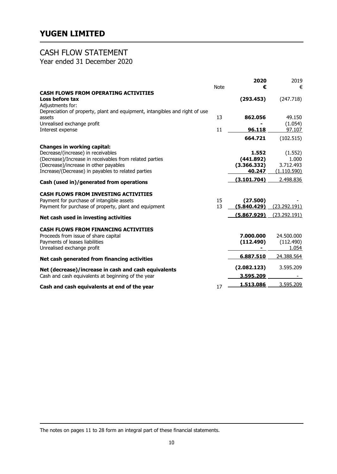## CASH FLOW STATEMENT

Year ended 31 December 2020

|                                                                                                                                                                                                                                    | <b>Note</b> | 2020<br>€                                              | 2019<br>€                                                 |
|------------------------------------------------------------------------------------------------------------------------------------------------------------------------------------------------------------------------------------|-------------|--------------------------------------------------------|-----------------------------------------------------------|
| <b>CASH FLOWS FROM OPERATING ACTIVITIES</b><br>Loss before tax<br>Adjustments for:                                                                                                                                                 |             | (293.453)                                              | (247.718)                                                 |
| Depreciation of property, plant and equipment, intangibles and right of use<br>assets<br>Unrealised exchange profit                                                                                                                | 13          | 862.056                                                | 49.150<br>(1.054)                                         |
| Interest expense                                                                                                                                                                                                                   | 11          | 96.118                                                 | 97.107                                                    |
| <b>Changes in working capital:</b><br>Decrease/(increase) in receivables<br>(Decrease)/Increase in receivables from related parties<br>(Decrease)/increase in other payables<br>Increase/(Decrease) in payables to related parties |             | 664.721<br>1.552<br>(441.892)<br>(3.366.332)<br>40.247 | (102.515)<br>(1.552)<br>1.000<br>3.712.493<br>(1.110.590) |
| Cash (used in)/generated from operations                                                                                                                                                                                           |             | (3.101.704)                                            | 2.498.836                                                 |
| <b>CASH FLOWS FROM INVESTING ACTIVITIES</b><br>Payment for purchase of intangible assets<br>Payment for purchase of property, plant and equipment                                                                                  | 15<br>13    | (27.500)<br>(5.840.429)                                | (23.292.191)                                              |
| Net cash used in investing activities                                                                                                                                                                                              |             | (5.867.929)                                            | (23.292.191)                                              |
| <b>CASH FLOWS FROM FINANCING ACTIVITIES</b><br>Proceeds from issue of share capital<br>Payments of leases liabilities<br>Unrealised exchange profit                                                                                |             | 7.000.000<br>(112.490)                                 | 24.500.000<br>(112.490)<br>1.054                          |
| Net cash generated from financing activities                                                                                                                                                                                       |             | 6.887.510                                              | 24.388.564                                                |
| Net (decrease)/increase in cash and cash equivalents<br>Cash and cash equivalents at beginning of the year                                                                                                                         |             | (2.082.123)<br>3.595.209                               | 3.595.209                                                 |
| Cash and cash equivalents at end of the year                                                                                                                                                                                       | 17          | 1.513.086                                              | 3.595.209                                                 |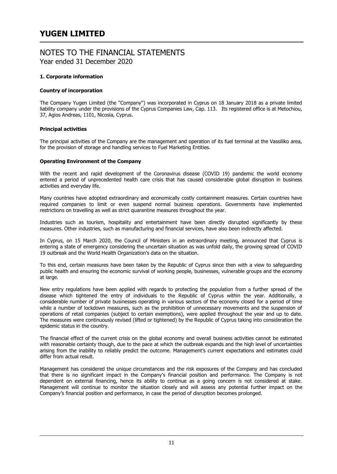#### **1. Corporate information**

#### **Country of incorporation**

The Company Yugen Limited (the ''Company'') was incorporated in Cyprus on 18 January 2018 as a private limited liability company under the provisions of the Cyprus Companies Law, Cap. 113. Its registered office is at Metochiou, 37, Agios Andreas, 1101, Nicosia, Cyprus.

#### **Principal activities**

The principal activities of the Company are the management and operation of its fuel terminal at the Vassiliko area, for the provision of storage and handling services to Fuel Marketing Entities.

#### **Operating Environment of the Company**

With the recent and rapid development of the Coronavirus disease (COVID 19) pandemic the world economy entered a period of unprecedented health care crisis that has caused considerable global disruption in business activities and everyday life.

Many countries have adopted extraordinary and economically costly containment measures. Certain countries have required companies to limit or even suspend normal business operations. Governments have implemented restrictions on travelling as well as strict quarantine measures throughout the year.

Industries such as tourism, hospitality and entertainment have been directly disrupted significantly by these measures. Other industries, such as manufacturing and financial services, have also been indirectly affected.

In Cyprus, on 15 March 2020, the Council of Ministers in an extraordinary meeting, announced that Cyprus is entering a state of emergency considering the uncertain situation as was unfold daily, the growing spread of COVID 19 outbreak and the World Health Organization's data on the situation.

To this end, certain measures have been taken by the Republic of Cyprus since then with a view to safeguarding public health and ensuring the economic survival of working people, businesses, vulnerable groups and the economy at large.

New entry regulations have been applied with regards to protecting the population from a further spread of the disease which tightened the entry of individuals to the Republic of Cyprus within the year. Additionally, a considerable number of private businesses operating in various sectors of the economy closed for a period of time while a number of lockdown measures, such as the prohibition of unnecessary movements and the suspension of operations of retail companies (subject to certain exemptions), were applied throughout the year and up to date. The measures were continuously revised (lifted or tightened) by the Republic of Cyprus taking into consideration the epidemic status in the country.

The financial effect of the current crisis on the global economy and overall business activities cannot be estimated with reasonable certainty though, due to the pace at which the outbreak expands and the high level of uncertainties arising from the inability to reliably predict the outcome. Management's current expectations and estimates could differ from actual result.

Management has considered the unique circumstances and the risk exposures of the Company and has concluded that there is no significant impact in the Company's financial position and performance. The Company is not dependent on external financing, hence its ability to continue as a going concern is not considered at stake. Management will continue to monitor the situation closely and will assess any potential further impact on the Company's financial position and performance, in case the period of disruption becomes prolonged.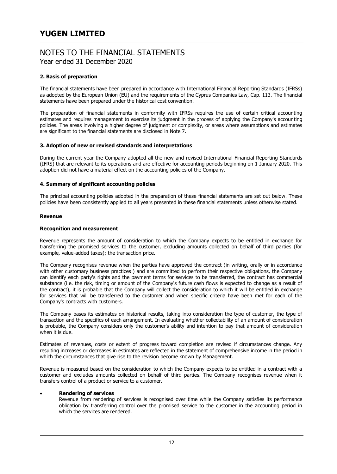#### **2. Basis of preparation**

The financial statements have been prepared in accordance with International Financial Reporting Standards (IFRSs) as adopted by the European Union (EU) and the requirements of the Cyprus Companies Law, Cap. 113. The financial statements have been prepared under the historical cost convention.

The preparation of financial statements in conformity with IFRSs requires the use of certain critical accounting estimates and requires management to exercise its judgment in the process of applying the Company's accounting policies. The areas involving a higher degree of judgment or complexity, or areas where assumptions and estimates are significant to the financial statements are disclosed in Note 7.

#### **3. Adoption of new or revised standards and interpretations**

During the current year the Company adopted all the new and revised International Financial Reporting Standards (IFRS) that are relevant to its operations and are effective for accounting periods beginning on 1 January 2020. This adoption did not have a material effect on the accounting policies of the Company.

#### **4. Summary of significant accounting policies**

The principal accounting policies adopted in the preparation of these financial statements are set out below. These policies have been consistently applied to all years presented in these financial statements unless otherwise stated.

#### **Revenue**

#### **Recognition and measurement**

Revenue represents the amount of consideration to which the Company expects to be entitled in exchange for transferring the promised services to the customer, excluding amounts collected on behalf of third parties (for example, value-added taxes); the transaction price.

The Company recognises revenue when the parties have approved the contract (in writing, orally or in accordance with other customary business practices ) and are committed to perform their respective obligations, the Company can identify each party's rights and the payment terms for services to be transferred, the contract has commercial substance (i.e. the risk, timing or amount of the Company's future cash flows is expected to change as a result of the contract), it is probable that the Company will collect the consideration to which it will be entitled in exchange for services that will be transferred to the customer and when specific criteria have been met for each of the Company's contracts with customers.

The Company bases its estimates on historical results, taking into consideration the type of customer, the type of transaction and the specifics of each arrangement. In evaluating whether collectability of an amount of consideration is probable, the Company considers only the customer's ability and intention to pay that amount of consideration when it is due.

Estimates of revenues, costs or extent of progress toward completion are revised if circumstances change. Any resulting increases or decreases in estimates are reflected in the statement of comprehensive income in the period in which the circumstances that give rise to the revision become known by Management.

Revenue is measured based on the consideration to which the Company expects to be entitled in a contract with a customer and excludes amounts collected on behalf of third parties. The Company recognises revenue when it transfers control of a product or service to a customer.

#### **Rendering of services**

Revenue from rendering of services is recognised over time while the Company satisfies its performance obligation by transferring control over the promised service to the customer in the accounting period in which the services are rendered.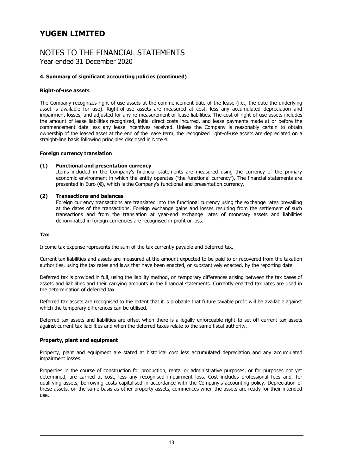#### **4. Summary of significant accounting policies (continued)**

#### **Right-of-use assets**

The Company recognizes right-of-use assets at the commencement date of the lease (i.e., the date the underlying asset is available for use). Right-of-use assets are measured at cost, less any accumulated depreciation and impairment losses, and adjusted for any re-measurement of lease liabilities. The cost of right-of-use assets includes the amount of lease liabilities recognized, initial direct costs incurred, and lease payments made at or before the commencement date less any lease incentives received. Unless the Company is reasonably certain to obtain ownership of the leased asset at the end of the lease term, the recognized right-of-use assets are depreciated on a straight-line basis following principles disclosed in Note 4.

#### **Foreign currency translation**

#### **(1) Functional and presentation currency**

Items included in the Company's financial statements are measured using the currency of the primary economic environment in which the entity operates ('the functional currency'). The financial statements are presented in Euro (€), which is the Company's functional and presentation currency.

#### **(2) Transactions and balances**

Foreign currency transactions are translated into the functional currency using the exchange rates prevailing at the dates of the transactions. Foreign exchange gains and losses resulting from the settlement of such transactions and from the translation at year-end exchange rates of monetary assets and liabilities denominated in foreign currencies are recognised in profit or loss.

#### **Tax**

Income tax expense represents the sum of the tax currently payable and deferred tax.

Current tax liabilities and assets are measured at the amount expected to be paid to or recovered from the taxation authorities, using the tax rates and laws that have been enacted, or substantively enacted, by the reporting date.

Deferred tax is provided in full, using the liability method, on temporary differences arising between the tax bases of assets and liabilities and their carrying amounts in the financial statements. Currently enacted tax rates are used in the determination of deferred tax.

Deferred tax assets are recognised to the extent that it is probable that future taxable profit will be available against which the temporary differences can be utilised.

Deferred tax assets and liabilities are offset when there is a legally enforceable right to set off current tax assets against current tax liabilities and when the deferred taxes relate to the same fiscal authority.

#### **Property, plant and equipment**

Property, plant and equipment are stated at historical cost less accumulated depreciation and any accumulated impairment losses.

Properties in the course of construction for production, rental or administrative purposes, or for purposes not yet determined, are carried at cost, less any recognised impairment loss. Cost includes professional fees and, for qualifying assets, borrowing costs capitalised in accordance with the Company's accounting policy. Depreciation of these assets, on the same basis as other property assets, commences when the assets are ready for their intended use.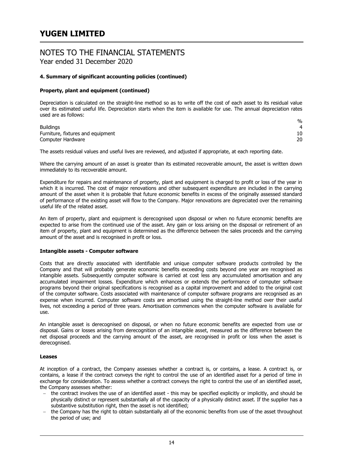#### **4. Summary of significant accounting policies (continued)**

#### **Property, plant and equipment (continued)**

Depreciation is calculated on the straight-line method so as to write off the cost of each asset to its residual value over its estimated useful life. Depreciation starts when the item is available for use. The annual depreciation rates used are as follows:

|                                   | %  |
|-----------------------------------|----|
| <b>Buildings</b>                  |    |
| Furniture, fixtures and equipment | 10 |
| Computer Hardware                 | 20 |

The assets residual values and useful lives are reviewed, and adjusted if appropriate, at each reporting date.

Where the carrying amount of an asset is greater than its estimated recoverable amount, the asset is written down immediately to its recoverable amount.

Expenditure for repairs and maintenance of property, plant and equipment is charged to profit or loss of the year in which it is incurred. The cost of major renovations and other subsequent expenditure are included in the carrying amount of the asset when it is probable that future economic benefits in excess of the originally assessed standard of performance of the existing asset will flow to the Company. Major renovations are depreciated over the remaining useful life of the related asset.

An item of property, plant and equipment is derecognised upon disposal or when no future economic benefits are expected to arise from the continued use of the asset. Any gain or loss arising on the disposal or retirement of an item of property, plant and equipment is determined as the difference between the sales proceeds and the carrying amount of the asset and is recognised in profit or loss.

#### **Intangible assets - Computer software**

Costs that are directly associated with identifiable and unique computer software products controlled by the Company and that will probably generate economic benefits exceeding costs beyond one year are recognised as intangible assets. Subsequently computer software is carried at cost less any accumulated amortisation and any accumulated impairment losses. Expenditure which enhances or extends the performance of computer software programs beyond their original specifications is recognised as a capital improvement and added to the original cost of the computer software. Costs associated with maintenance of computer software programs are recognised as an expense when incurred. Computer software costs are amortised using the straight-line method over their useful lives, not exceeding a period of three years. Amortisation commences when the computer software is available for use.

An intangible asset is derecognised on disposal, or when no future economic benefits are expected from use or disposal. Gains or losses arising from derecognition of an intangible asset, measured as the difference between the net disposal proceeds and the carrying amount of the asset, are recognised in profit or loss when the asset is derecognised.

#### **Leases**

At inception of a contract, the Company assesses whether a contract is, or contains, a lease. A contract is, or contains, a lease if the contract conveys the right to control the use of an identified asset for a period of time in exchange for consideration. To assess whether a contract conveys the right to control the use of an identified asset, the Company assesses whether:

- the contract involves the use of an identified asset this may be specified explicitly or implicitly, and should be physically distinct or represent substantially all of the capacity of a physically distinct asset. If the supplier has a substantive substitution right, then the asset is not identified;
- the Company has the right to obtain substantially all of the economic benefits from use of the asset throughout the period of use; and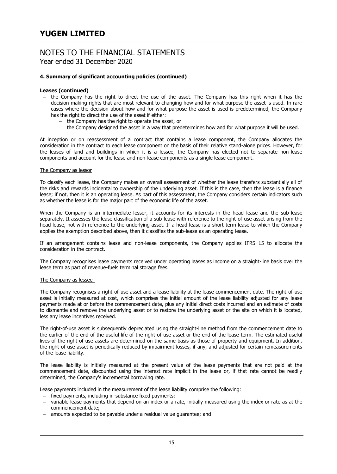#### **4. Summary of significant accounting policies (continued)**

#### **Leases (continued)**

- $-$  the Company has the right to direct the use of the asset. The Company has this right when it has the decision-making rights that are most relevant to changing how and for what purpose the asset is used. In rare cases where the decision about how and for what purpose the asset is used is predetermined, the Company has the right to direct the use of the asset if either:
	- $-$  the Company has the right to operate the asset; or
	- the Company designed the asset in a way that predetermines how and for what purpose it will be used.

At inception or on reassessment of a contract that contains a lease component, the Company allocates the consideration in the contract to each lease component on the basis of their relative stand-alone prices. However, for the leases of land and buildings in which it is a lessee, the Company has elected not to separate non-lease components and account for the lease and non-lease components as a single lease component.

#### The Company as lessor

To classify each lease, the Company makes an overall assessment of whether the lease transfers substantially all of the risks and rewards incidental to ownership of the underlying asset. If this is the case, then the lease is a finance lease; if not, then it is an operating lease. As part of this assessment, the Company considers certain indicators such as whether the lease is for the major part of the economic life of the asset.

When the Company is an intermediate lessor, it accounts for its interests in the head lease and the sub-lease separately. It assesses the lease classification of a sub-lease with reference to the right-of-use asset arising from the head lease, not with reference to the underlying asset. If a head lease is a short-term lease to which the Company applies the exemption described above, then it classifies the sub-lease as an operating lease.

If an arrangement contains lease and non-lease components, the Company applies IFRS 15 to allocate the consideration in the contract.

The Company recognises lease payments received under operating leases as income on a straight-line basis over the lease term as part of revenue-fuels terminal storage fees.

#### The Company as lessee

The Company recognises a right-of-use asset and a lease liability at the lease commencement date. The right-of-use asset is initially measured at cost, which comprises the initial amount of the lease liability adjusted for any lease payments made at or before the commencement date, plus any initial direct costs incurred and an estimate of costs to dismantle and remove the underlying asset or to restore the underlying asset or the site on which it is located, less any lease incentives received.

The right-of-use asset is subsequently depreciated using the straight-line method from the commencement date to the earlier of the end of the useful life of the right-of-use asset or the end of the lease term. The estimated useful lives of the right-of-use assets are determined on the same basis as those of property and equipment. In addition, the right-of-use asset is periodically reduced by impairment losses, if any, and adjusted for certain remeasurements of the lease liability.

The lease liability is initially measured at the present value of the lease payments that are not paid at the commencement date, discounted using the interest rate implicit in the lease or, if that rate cannot be readily determined, the Company's incremental borrowing rate.

Lease payments included in the measurement of the lease liability comprise the following:

- fixed payments, including in-substance fixed payments;
- variable lease payments that depend on an index or a rate, initially measured using the index or rate as at the commencement date;
- amounts expected to be payable under a residual value guarantee; and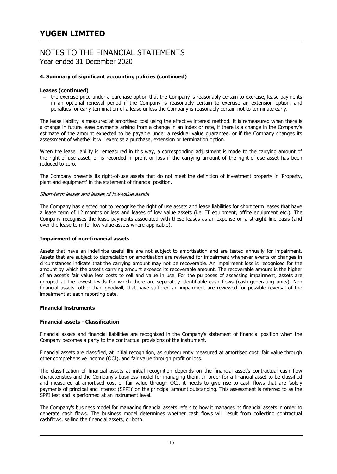#### **4. Summary of significant accounting policies (continued)**

#### **Leases (continued)**

- the exercise price under a purchase option that the Company is reasonably certain to exercise, lease payments in an optional renewal period if the Company is reasonably certain to exercise an extension option, and penalties for early termination of a lease unless the Company is reasonably certain not to terminate early.

The lease liability is measured at amortised cost using the effective interest method. It is remeasured when there is a change in future lease payments arising from a change in an index or rate, if there is a change in the Company's estimate of the amount expected to be payable under a residual value guarantee, or if the Company changes its assessment of whether it will exercise a purchase, extension or termination option.

When the lease liability is remeasured in this way, a corresponding adjustment is made to the carrying amount of the right-of-use asset, or is recorded in profit or loss if the carrying amount of the right-of-use asset has been reduced to zero.

The Company presents its right-of-use assets that do not meet the definition of investment property in 'Property, plant and equipment' in the statement of financial position.

#### Short-term leases and leases of low-value assets

The Company has elected not to recognise the right of use assets and lease liabilities for short term leases that have a lease term of 12 months or less and leases of low value assets (i.e. IT equipment, office equipment etc.). The Company recognises the lease payments associated with these leases as an expense on a straight line basis (and over the lease term for low value assets where applicable).

#### **Impairment of non-financial assets**

Assets that have an indefinite useful life are not subject to amortisation and are tested annually for impairment. Assets that are subject to depreciation or amortisation are reviewed for impairment whenever events or changes in circumstances indicate that the carrying amount may not be recoverable. An impairment loss is recognised for the amount by which the asset's carrying amount exceeds its recoverable amount. The recoverable amount is the higher of an asset's fair value less costs to sell and value in use. For the purposes of assessing impairment, assets are grouped at the lowest levels for which there are separately identifiable cash flows (cash-generating units). Non financial assets, other than goodwill, that have suffered an impairment are reviewed for possible reversal of the impairment at each reporting date.

#### **Financial instruments**

#### **Financial assets - Classification**

Financial assets and financial liabilities are recognised in the Company's statement of financial position when the Company becomes a party to the contractual provisions of the instrument.

Financial assets are classified, at initial recognition, as subsequently measured at amortised cost, fair value through other comprehensive income (OCI), and fair value through profit or loss.

The classification of financial assets at initial recognition depends on the financial asset's contractual cash flow characteristics and the Company's business model for managing them. In order for a financial asset to be classified and measured at amortised cost or fair value through OCI, it needs to give rise to cash flows that are 'solely payments of principal and interest (SPPI)' on the principal amount outstanding. This assessment is referred to as the SPPI test and is performed at an instrument level.

The Company's business model for managing financial assets refers to how it manages its financial assets in order to generate cash flows. The business model determines whether cash flows will result from collecting contractual cashflows, selling the financial assets, or both.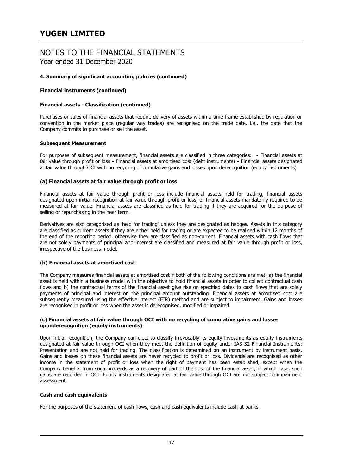**4. Summary of significant accounting policies (continued)**

#### **Financial instruments (continued)**

#### **Financial assets - Classification (continued)**

Purchases or sales of financial assets that require delivery of assets within a time frame established by regulation or convention in the market place (regular way trades) are recognised on the trade date, i.e., the date that the Company commits to purchase or sell the asset.

#### **Subsequent Measurement**

For purposes of subsequent measurement, financial assets are classified in three categories: • Financial assets at fair value through profit or loss • Financial assets at amortised cost (debt instruments) • Financial assets designated at fair value through OCI with no recycling of cumulative gains and losses upon derecognition (equity instruments)

#### **(a) Financial assets at fair value through profit or loss**

Financial assets at fair value through profit or loss include financial assets held for trading, financial assets designated upon initial recognition at fair value through profit or loss, or financial assets mandatorily required to be measured at fair value. Financial assets are classified as held for trading if they are acquired for the purpose of selling or repurchasing in the near term.

Derivatives are also categorised as 'held for trading' unless they are designated as hedges. Assets in this category are classified as current assets if they are either held for trading or are expected to be realised within 12 months of the end of the reporting period, otherwise they are classified as non-current. Financial assets with cash flows that are not solely payments of principal and interest are classified and measured at fair value through profit or loss, irrespective of the business model.

#### **(b) Financial assets at amortised cost**

The Company measures financial assets at amortised cost if both of the following conditions are met: a) the financial asset is held within a business model with the objective to hold financial assets in order to collect contractual cash flows and b) the contractual terms of the financial asset give rise on specified dates to cash flows that are solely payments of principal and interest on the principal amount outstanding. Financial assets at amortised cost are subsequently measured using the effective interest (EIR) method and are subject to impairment. Gains and losses are recognised in profit or loss when the asset is derecognised, modified or impaired.

#### **(c) Financial assets at fair value through OCI with no recycling of cumulative gains and losses uponderecognition (equity instruments)**

Upon initial recognition, the Company can elect to classify irrevocably its equity investments as equity instruments designated at fair value through OCI when they meet the definition of equity under IAS 32 Financial Instruments: Presentation and are not held for trading. The classification is determined on an instrument by instrument basis. Gains and losses on these financial assets are never recycled to profit or loss. Dividends are recognised as other income in the statement of profit or loss when the right of payment has been established, except when the Company benefits from such proceeds as a recovery of part of the cost of the financial asset, in which case, such gains are recorded in OCI. Equity instruments designated at fair value through OCI are not subject to impairment assessment.

#### **Cash and cash equivalents**

For the purposes of the statement of cash flows, cash and cash equivalents include cash at banks.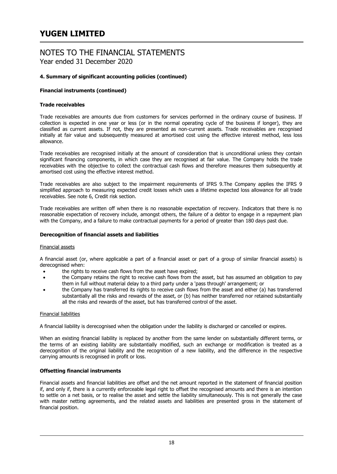#### **4. Summary of significant accounting policies (continued)**

#### **Financial instruments (continued)**

#### **Trade receivables**

Trade receivables are amounts due from customers for services performed in the ordinary course of business. If collection is expected in one year or less (or in the normal operating cycle of the business if longer), they are classified as current assets. If not, they are presented as non-current assets. Trade receivables are recognised initially at fair value and subsequently measured at amortised cost using the effective interest method, less loss allowance.

Trade receivables are recognised initially at the amount of consideration that is unconditional unless they contain significant financing components, in which case they are recognised at fair value. The Company holds the trade receivables with the objective to collect the contractual cash flows and therefore measures them subsequently at amortised cost using the effective interest method.

Trade receivables are also subject to the impairment requirements of IFRS 9.The Company applies the IFRS 9 simplified approach to measuring expected credit losses which uses a lifetime expected loss allowance for all trade receivables. See note 6, Credit risk section.

Trade receivables are written off when there is no reasonable expectation of recovery. Indicators that there is no reasonable expectation of recovery include, amongst others, the failure of a debtor to engage in a repayment plan with the Company, and a failure to make contractual payments for a period of greater than 180 days past due.

#### **Derecognition of financial assets and liabilities**

#### Financial assets

A financial asset (or, where applicable a part of a financial asset or part of a group of similar financial assets) is derecognised when:

- the rights to receive cash flows from the asset have expired;
- the Company retains the right to receive cash flows from the asset, but has assumed an obligation to pay them in full without material delay to a third party under a 'pass through' arrangement; or
- the Company has transferred its rights to receive cash flows from the asset and either (a) has transferred substantially all the risks and rewards of the asset, or (b) has neither transferred nor retained substantially all the risks and rewards of the asset, but has transferred control of the asset.

#### Financial liabilities

A financial liability is derecognised when the obligation under the liability is discharged or cancelled or expires.

When an existing financial liability is replaced by another from the same lender on substantially different terms, or the terms of an existing liability are substantially modified, such an exchange or modification is treated as a derecognition of the original liability and the recognition of a new liability, and the difference in the respective carrying amounts is recognised in profit or loss.

#### **Offsetting financial instruments**

Financial assets and financial liabilities are offset and the net amount reported in the statement of financial position if, and only if, there is a currently enforceable legal right to offset the recognised amounts and there is an intention to settle on a net basis, or to realise the asset and settle the liability simultaneously. This is not generally the case with master netting agreements, and the related assets and liabilities are presented gross in the statement of financial position.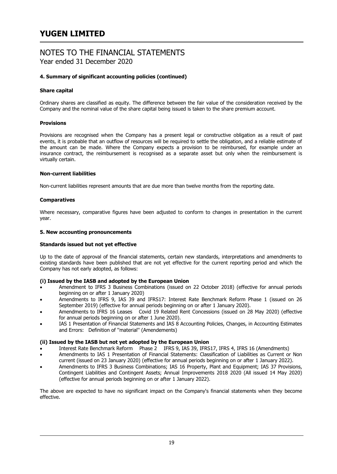#### **4. Summary of significant accounting policies (continued)**

#### **Share capital**

Ordinary shares are classified as equity. The difference between the fair value of the consideration received by the Company and the nominal value of the share capital being issued is taken to the share premium account.

#### **Provisions**

Provisions are recognised when the Company has a present legal or constructive obligation as a result of past events, it is probable that an outflow of resources will be required to settle the obligation, and a reliable estimate of the amount can be made. Where the Company expects a provision to be reimbursed, for example under an insurance contract, the reimbursement is recognised as a separate asset but only when the reimbursement is virtually certain.

#### **Non-current liabilities**

Non-current liabilities represent amounts that are due more than twelve months from the reporting date.

#### **Comparatives**

Where necessary, comparative figures have been adjusted to conform to changes in presentation in the current year.

#### **5. New accounting pronouncements**

#### **Standards issued but not yet effective**

Up to the date of approval of the financial statements, certain new standards, interpretations and amendments to existing standards have been published that are not yet effective for the current reporting period and which the Company has not early adopted, as follows:

#### **(i) Issued by the IASB and adopted by the European Union**

- Amendment to IFRS 3 Business Combinations (issued on 22 October 2018) (effective for annual periods beginning on or after 1 January 2020)
- Amendments to IFRS 9, IAS 39 and IFRS17: Interest Rate Benchmark Reform Phase 1 (issued on 26 September 2019) (effective for annual periods beginning on or after 1 January 2020).
- Amendments to IFRS 16 Leases Covid 19 Related Rent Concessions (issued on 28 May 2020) (effective for annual periods beginning on or after 1 June 2020).
- IAS 1 Presentation of Financial Statements and IAS 8 Accounting Policies, Changes, in Accounting Estimates and Errors: Definition of ''material'' (Amendements)

#### **(ii) Issued by the IASB but not yet adopted by the European Union**

- Interest Rate Benchmark Reform Phase 2 IFRS 9, IAS 39, IFRS17, IFRS 4, IFRS 16 (Amendments)
- Amendments to IAS 1 Presentation of Financial Statements: Classification of Liabilities as Current or Non current (issued on 23 January 2020) (effective for annual periods beginning on or after 1 January 2022).
- Amendments to IFRS 3 Business Combinations; IAS 16 Property, Plant and Equipment; IAS 37 Provisions, Contingent Liabilities and Contingent Assets; Annual Improvements 2018 2020 (All issued 14 May 2020) (effective for annual periods beginning on or after 1 January 2022).

The above are expected to have no significant impact on the Company's financial statements when they become effective.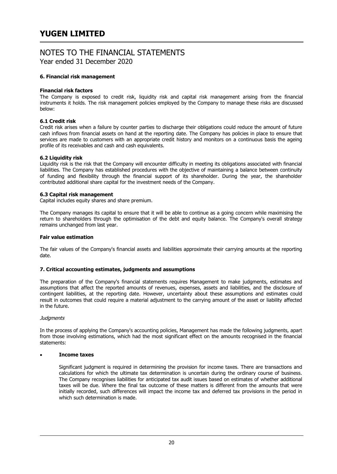#### **6. Financial risk management**

#### **Financial risk factors**

The Company is exposed to credit risk, liquidity risk and capital risk management arising from the financial instruments it holds. The risk management policies employed by the Company to manage these risks are discussed below:

#### **6.1 Credit risk**

Credit risk arises when a failure by counter parties to discharge their obligations could reduce the amount of future cash inflows from financial assets on hand at the reporting date. The Company has policies in place to ensure that services are made to customers with an appropriate credit history and monitors on a continuous basis the ageing profile of its receivables and cash and cash equivalents.

#### **6.2 Liquidity risk**

Liquidity risk is the risk that the Company will encounter difficulty in meeting its obligations associated with financial liabilities. The Company has established procedures with the objective of maintaining a balance between continuity of funding and flexibility through the financial support of its shareholder. During the year, the shareholder contributed additional share capital for the investment needs of the Company.

#### **6.3 Capital risk management**

Capital includes equity shares and share premium.

The Company manages its capital to ensure that it will be able to continue as a going concern while maximising the return to shareholders through the optimisation of the debt and equity balance. The Company's overall strategy remains unchanged from last year.

#### **Fair value estimation**

The fair values of the Company's financial assets and liabilities approximate their carrying amounts at the reporting date.

#### **7. Critical accounting estimates, judgments and assumptions**

The preparation of the Company's financial statements requires Management to make judgments, estimates and assumptions that affect the reported amounts of revenues, expenses, assets and liabilities, and the disclosure of contingent liabilities, at the reporting date. However, uncertainty about these assumptions and estimates could result in outcomes that could require a material adjustment to the carrying amount of the asset or liability affected in the future.

#### **Judgments**

In the process of applying the Company's accounting policies, Management has made the following judgments, apart from those involving estimations, which had the most significant effect on the amounts recognised in the financial statements:

#### **Income taxes**

Significant judgment is required in determining the provision for income taxes. There are transactions and calculations for which the ultimate tax determination is uncertain during the ordinary course of business. The Company recognises liabilities for anticipated tax audit issues based on estimates of whether additional taxes will be due. Where the final tax outcome of these matters is different from the amounts that were initially recorded, such differences will impact the income tax and deferred tax provisions in the period in which such determination is made.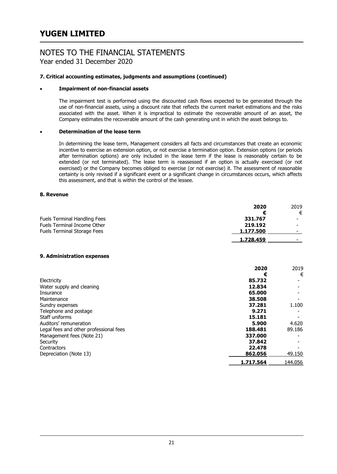# NOTES TO THE FINANCIAL STATEMENTS

Year ended 31 December 2020

#### **7. Critical accounting estimates, judgments and assumptions (continued)**

#### **Impairment of non-financial assets**

The impairment test is performed using the discounted cash flows expected to be generated through the use of non-financial assets, using a discount rate that reflects the current market estimations and the risks associated with the asset. When it is impractical to estimate the recoverable amount of an asset, the Company estimates the recoverable amount of the cash generating unit in which the asset belongs to.

#### **Determination of the lease term**

In determining the lease term, Management considers all facts and circumstances that create an economic incentive to exercise an extension option, or not exercise a termination option. Extension options (or periods after termination options) are only included in the lease term if the lease is reasonably certain to be extended (or not terminated). The lease term is reassessed if an option is actually exercised (or not exercised) or the Company becomes obliged to exercise (or not exercise) it. The assessment of reasonable certainty is only revised if a significant event or a significant change in circumstances occurs, which affects this assessment, and that is within the control of the lessee.

#### **8. Revenue**

|                                    | 2020      | 2019 |
|------------------------------------|-----------|------|
|                                    |           | €    |
| Fuels Terminal Handling Fees       | 331.767   |      |
| <b>Fuels Terminal Income Other</b> | 219.192   |      |
| <b>Fuels Terminal Storage Fees</b> | 1.177.500 |      |
|                                    | 1.728.459 |      |

#### **9. Administration expenses**

|                                        | 2020      | 2019    |
|----------------------------------------|-----------|---------|
|                                        | €         | €       |
| Electricity                            | 85.732    |         |
| Water supply and cleaning              | 12.834    |         |
| Insurance                              | 65.000    |         |
| Maintenance                            | 38,508    |         |
| Sundry expenses                        | 37.281    | 1.100   |
| Telephone and postage                  | 9.271     |         |
| Staff uniforms                         | 15.181    |         |
| Auditors' remuneration                 | 5.900     | 4.620   |
| Legal fees and other professional fees | 188.481   | 89.186  |
| Management fees (Note 21)              | 337.000   |         |
| Security                               | 37.842    |         |
| Contractors                            | 22.478    |         |
| Depreciation (Note 13)                 | 862.056   | 49.150  |
|                                        | 1.717.564 | 144.056 |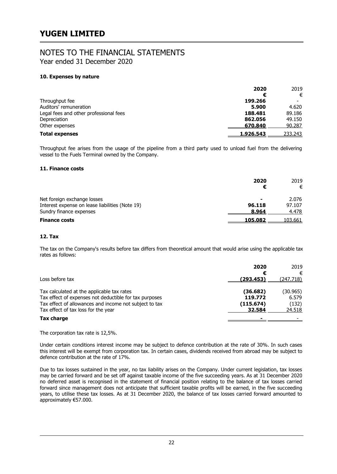#### **10. Expenses by nature**

|                                        | 2020      | 2019    |
|----------------------------------------|-----------|---------|
|                                        | €         | €       |
| Throughput fee                         | 199.266   | ۰.      |
| Auditors' remuneration                 | 5.900     | 4.620   |
| Legal fees and other professional fees | 188.481   | 89.186  |
| Depreciation                           | 862.056   | 49.150  |
| Other expenses                         | 670.840   | 90.287  |
| <b>Total expenses</b>                  | 1.926.543 | 233.243 |

Throughput fee arises from the usage of the pipeline from a third party used to unload fuel from the delivering vessel to the Fuels Terminal owned by the Company.

#### **11. Finance costs**

|                                                 | 2020<br>€      | 2019<br>€ |
|-------------------------------------------------|----------------|-----------|
| Net foreign exchange losses                     | $\blacksquare$ | 2.076     |
| Interest expense on lease liabilities (Note 19) | 96.118         | 97.107    |
| Sundry finance expenses                         | 8.964          | 4.478     |
| <b>Finance costs</b>                            | 105.082        | 103.661   |

#### **12. Tax**

The tax on the Company's results before tax differs from theoretical amount that would arise using the applicable tax rates as follows:

|                                                                                                                                                                                                       | 2020                                       | 2019                                 |
|-------------------------------------------------------------------------------------------------------------------------------------------------------------------------------------------------------|--------------------------------------------|--------------------------------------|
| Loss before tax                                                                                                                                                                                       | €<br>(293.453)                             | €<br><u>(247.718)</u>                |
| Tax calculated at the applicable tax rates<br>Tax effect of expenses not deductible for tax purposes<br>Tax effect of allowances and income not subject to tax<br>Tax effect of tax loss for the year | (36.682)<br>119.772<br>(115.674)<br>32.584 | (30.965)<br>6.579<br>(132)<br>24.518 |
| <b>Tax charge</b>                                                                                                                                                                                     |                                            |                                      |

The corporation tax rate is 12,5%.

Under certain conditions interest income may be subject to defence contribution at the rate of 30%. In such cases this interest will be exempt from corporation tax. In certain cases, dividends received from abroad may be subject to defence contribution at the rate of 17%.

Due to tax losses sustained in the year, no tax liability arises on the Company. Under current legislation, tax losses may be carried forward and be set off against taxable income of the five succeeding years. As at 31 December 2020 no deferred asset is recognised in the statement of financial position relating to the balance of tax losses carried forward since management does not anticipate that sufficient taxable profits will be earned, in the five succeeding years, to utilise these tax losses. As at 31 December 2020, the balance of tax losses carried forward amounted to approximately €57.000.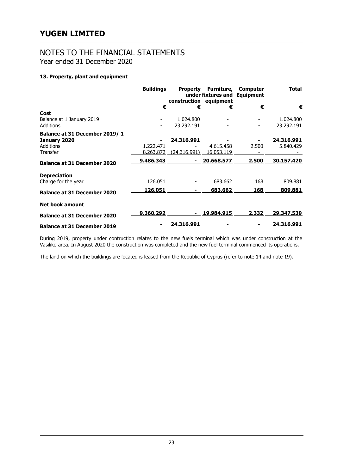#### **13. Property, plant and equipment**

|                                    | <b>Buildings</b> | construction equipment | <b>Property Furniture,</b><br>under fixtures and | <b>Computer</b><br><b>Equipment</b> | <b>Total</b>      |
|------------------------------------|------------------|------------------------|--------------------------------------------------|-------------------------------------|-------------------|
|                                    | €                | €                      | €                                                | €                                   | €                 |
| Cost                               |                  |                        |                                                  |                                     |                   |
| Balance at 1 January 2019          |                  | 1.024.800              |                                                  |                                     | 1.024.800         |
| <b>Additions</b>                   |                  | 23.292.191             |                                                  |                                     | 23.292.191        |
| Balance at 31 December 2019/1      |                  |                        |                                                  |                                     |                   |
| January 2020                       | ۰                | 24.316.991             |                                                  |                                     | 24.316.991        |
| <b>Additions</b>                   | 1.222.471        |                        | 4.615.458                                        | 2.500                               | 5.840.429         |
| <b>Transfer</b>                    | 8.263.872        | <u>(24.316.991)</u>    | 16.053.119                                       |                                     |                   |
| <b>Balance at 31 December 2020</b> | 9.486.343        |                        | <u>- 20.668.577</u>                              | 2.500                               | 30.157.420        |
| <b>Depreciation</b>                |                  |                        |                                                  |                                     |                   |
| Charge for the year                | 126.051          |                        | 683.662                                          | 168                                 | 809.881           |
| <b>Balance at 31 December 2020</b> | 126.051          | ۰.                     | 683.662                                          | 168                                 | 809.881           |
| Net book amount                    |                  |                        |                                                  |                                     |                   |
| <b>Balance at 31 December 2020</b> | 9.360.292        |                        | 19,984,915                                       | 2.332                               | 29.347.539        |
| <b>Balance at 31 December 2019</b> |                  | 24.316.991             |                                                  |                                     | <u>24.316.991</u> |

During 2019, property under contruction relates to the new fuels terminal which was under construction at the Vasiliko area. In August 2020 the construction was completed and the new fuel terminal commenced its operations.

The land on which the buildings are located is leased from the Republic of Cyprus (refer to note 14 and note 19).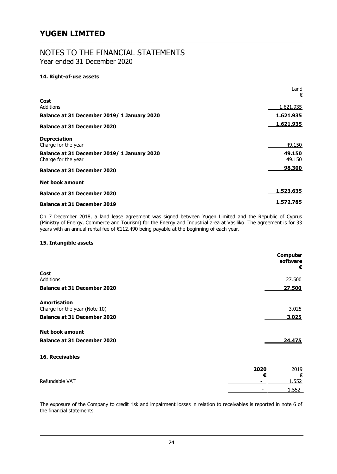#### **14. Right-of-use assets**

|                                                                   | Land<br>€        |
|-------------------------------------------------------------------|------------------|
| Cost<br><b>Additions</b>                                          | 1.621.935        |
| Balance at 31 December 2019/ 1 January 2020                       | <u>1.621.935</u> |
| <b>Balance at 31 December 2020</b>                                | 1.621.935        |
| <b>Depreciation</b><br>Charge for the year                        | 49.150           |
| Balance at 31 December 2019/1 January 2020<br>Charge for the year | 49.150<br>49.150 |
| <b>Balance at 31 December 2020</b>                                | 98.300           |
| Net book amount                                                   |                  |
| <b>Balance at 31 December 2020</b>                                | 1.523.635        |
| <b>Balance at 31 December 2019</b>                                | 1.572.785        |

On 7 December 2018, a land lease agreement was signed between Yugen Limited and the Republic of Cyprus (Ministry of Energy, Commerce and Tourism) for the Energy and Industrial area at Vasiliko. The agreement is for 33 years with an annual rental fee of  $\epsilon$ 112.490 being payable at the beginning of each year.

#### **15. Intangible assets**

|                                               |      | <b>Computer</b><br>software<br>€ |
|-----------------------------------------------|------|----------------------------------|
| Cost<br><b>Additions</b>                      |      | 27.500                           |
| <b>Balance at 31 December 2020</b>            |      | 27.500                           |
| Amortisation<br>Charge for the year (Note 10) |      | 3.025                            |
| <b>Balance at 31 December 2020</b>            |      | 3.025                            |
| <b>Net book amount</b>                        |      |                                  |
| <b>Balance at 31 December 2020</b>            |      | 24.475                           |
| <b>16. Receivables</b>                        |      |                                  |
|                                               | 2020 | 2019                             |
| Refundable VAT                                | €    | €<br>1.552                       |
|                                               |      | 1.552                            |

The exposure of the Company to credit risk and impairment losses in relation to receivables is reported in note 6 of the financial statements.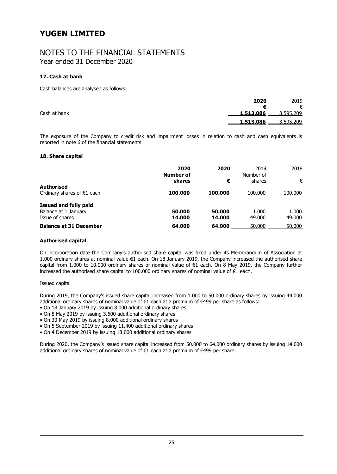#### **17. Cash at bank**

Cash balances are analysed as follows:

|              | 2020      | 2019      |
|--------------|-----------|-----------|
|              |           | €         |
| Cash at bank | 1,513,086 | 3.595.209 |
|              | 1,513,086 | 3.595.209 |

The exposure of the Company to credit risk and impairment losses in relation to cash and cash equivalents is reported in note 6 of the financial statements.

#### **18. Share capital**

| Authorised                                                              | 2020<br>Number of<br>shares | 2020<br>€        | 2019<br>Number of<br>shares | 2019<br>€       |
|-------------------------------------------------------------------------|-----------------------------|------------------|-----------------------------|-----------------|
| Ordinary shares of $E1$ each                                            | 100,000                     | 100.000          | 100.000                     | 100.000         |
| <b>Issued and fully paid</b><br>Balance at 1 January<br>Issue of shares | 50,000<br>14.000            | 50.000<br>14.000 | 1.000<br>49,000             | 1.000<br>49.000 |
| <b>Balance at 31 December</b>                                           | 64.000                      | 64.000           | 50,000                      | 50.000          |

#### **Authorised capital**

On incorporation date the Company's authorised share capital was fixed under its Memorandum of Association at 1.000 ordinary shares at nominal value €1 each. On 18 January 2019, the Company increased the authorised share capital from 1.000 to 10.000 ordinary shares of nominal value of €1 each. On 8 May 2019, the Company further increased the authorised share capital to 100.000 ordinary shares of nominal value of €1 each.

#### Issued capital

During 2019, the Company's issued share capital increased from 1.000 to 50.000 ordinary shares by issuing 49.000 additional ordinary shares of nominal value of €1 each at a premium of €499 per share as follows:

- On 18 January 2019 by issuing 8.000 additional ordinary shares
- On 8 May 2019 by issuing 3.600 additional ordinary shares
- On 30 May 2019 by issuing 8.000 additional ordinary shares
- On 5 September 2019 by issuing 11.400 additional ordinary shares
- On 4 December 2019 by issuing 18.000 additional ordinary shares

During 2020, the Company's issued share capital increased from 50.000 to 64.000 ordinary shares by issuing 14.000 additional ordinary shares of nominal value of €1 each at a premium of €499 per share.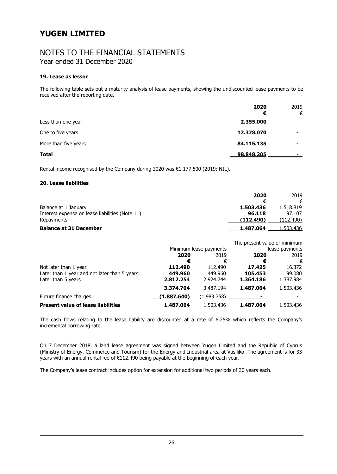#### **19. Lease as lessor**

The following table sets out a maturity analysis of lease payments, showing the undiscounted lease payments to be received after the reporting date.

|                      | 2020<br>€  | 2019<br>€                |
|----------------------|------------|--------------------------|
| Less than one year   | 2.355.000  |                          |
| One to five years    | 12,378,070 |                          |
| More than five years | 84.115.135 |                          |
| <b>Total</b>         | 98.848.205 | $\overline{\phantom{0}}$ |

Rental income recognised by the Company during 2020 was €1.177.500 (2019: NIL)**.**

#### **20. Lease liabilities**

|                                                 | 2020      | 2019      |
|-------------------------------------------------|-----------|-----------|
|                                                 | €         |           |
| Balance at 1 January                            | 1.503.436 | 1.518.819 |
| Interest expense on lease liabilities (Note 11) | 96.118    | 97.107    |
| Repayments                                      | (112.490) | (112.490) |
| <b>Balance at 31 December</b>                   | 1.487.064 | .503.436  |

|                                              |             | Minimum lease payments |           | The present value of minimum<br>lease payments |
|----------------------------------------------|-------------|------------------------|-----------|------------------------------------------------|
|                                              | 2020        | 2019                   | 2020      | 2019                                           |
|                                              | €           | €                      | €         | €                                              |
| Not later than 1 year                        | 112.490     | 112.490                | 17.425    | 16.372                                         |
| Later than 1 year and not later than 5 years | 449.960     | 449.960                | 105.453   | 99,080                                         |
| Later than 5 years                           | 2.812.254   | 2.924.744              | 1.364.186 | 1.387.984                                      |
|                                              | 3.374.704   | 3.487.194              | 1.487.064 | 1.503.436                                      |
| Future finance charges                       | (1.887.640) | (1.983.758)            |           |                                                |
| <b>Present value of lease liabilities</b>    | 1.487.064   | 1.503.436              | 1.487.064 | .503.436                                       |

The cash flows relating to the lease liability are discounted at a rate of 6,25% which reflects the Company's incremental borrowing rate.

On 7 December 2018, a land lease agreement was signed between Yugen Limited and the Republic of Cyprus (Ministry of Energy, Commerce and Tourism) for the Energy and Industrial area at Vasiliko. The agreement is for 33 years with an annual rental fee of €112.490 being payable at the beginning of each year.

The Company's lease contract includes option for extension for additional two periods of 30 years each.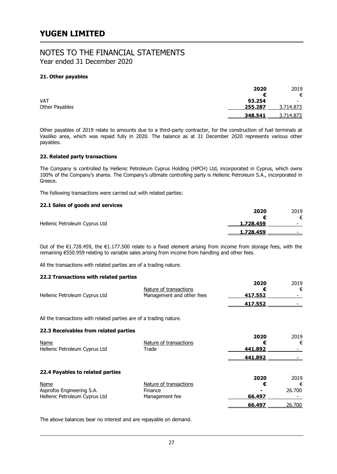#### **21. Other payables**

|                | 2020    | 2019             |
|----------------|---------|------------------|
|                | €       | €                |
| <b>VAT</b>     | 93.254  | -                |
| Other Payables | 255.287 | <u>3.714.873</u> |
|                | 348.541 | 3.714.873        |

Other payables of 2019 relate to amounts due to a third-party contractor, for the construction of fuel terminals at Vasiliko area, which was repaid fully in 2020. The balance as at 31 December 2020 represents various other payables.

#### **22. Related party transactions**

The Company is controlled by Hellenic Petroleum Cyprus Holding (HPCH) Ltd, incorporated in Cyprus, which owns 100% of the Company's shares. The Company's ultimate controlling party is Hellenic Petroleum S.A., incorporated in Greece.

The following transactions were carried out with related parties:

#### **22.1 Sales of goods and services**

|                               | 2020      | 2019 |
|-------------------------------|-----------|------|
|                               |           | €    |
| Hellenic Petroleum Cyprus Ltd | 1.728.459 | -    |
|                               | 1.728.459 | -    |

Out of the €1.728.459, the €1.177.500 relate to a fixed element arising from income from storage fees, with the remaining €550.959 relating to variable sales arising from income from handling and other fees.

All the transactions with related parties are of a trading nature.

#### **22.2 Transactions with related parties**

|                                                                    |                           | 2020    | 2019   |
|--------------------------------------------------------------------|---------------------------|---------|--------|
|                                                                    | Nature of transactions    |         | €      |
| Hellenic Petroleum Cyprus Ltd                                      | Management and other fees | 417.552 |        |
|                                                                    |                           | 417.552 |        |
| All the transactions with related parties are of a trading nature. |                           |         |        |
| 22.3 Receivables from related parties                              |                           |         |        |
|                                                                    |                           | 2020    | 2019   |
| Name                                                               | Nature of transactions    | €       | €      |
| Hellenic Petroleum Cyprus Ltd                                      | Trade                     | 441.892 |        |
|                                                                    |                           | 441.892 |        |
| 22.4 Payables to related parties                                   |                           |         |        |
|                                                                    |                           | 2020    | 2019   |
| Name                                                               | Nature of transactions    | €       | €      |
| Asprofos Engineering S.A.                                          | Finance                   |         | 26.700 |
| Hellenic Petroleum Cyprus Ltd                                      | Management fee            | 66.497  |        |
|                                                                    |                           | 66.497  | 26.700 |

The above balances bear no interest and are repayable on demand.